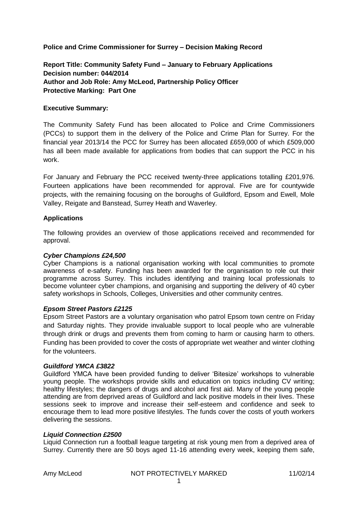**Police and Crime Commissioner for Surrey – Decision Making Record**

**Report Title: Community Safety Fund – January to February Applications Decision number: 044/2014 Author and Job Role: Amy McLeod, Partnership Policy Officer Protective Marking: Part One**

## **Executive Summary:**

The Community Safety Fund has been allocated to Police and Crime Commissioners (PCCs) to support them in the delivery of the Police and Crime Plan for Surrey. For the financial year 2013/14 the PCC for Surrey has been allocated £659,000 of which £509,000 has all been made available for applications from bodies that can support the PCC in his work.

For January and February the PCC received twenty-three applications totalling £201,976. Fourteen applications have been recommended for approval. Five are for countywide projects, with the remaining focusing on the boroughs of Guildford, Epsom and Ewell, Mole Valley, Reigate and Banstead, Surrey Heath and Waverley.

## **Applications**

The following provides an overview of those applications received and recommended for approval.

## *Cyber Champions £24,500*

Cyber Champions is a national organisation working with local communities to promote awareness of e-safety. Funding has been awarded for the organisation to role out their programme across Surrey. This includes identifying and training local professionals to become volunteer cyber champions, and organising and supporting the delivery of 40 cyber safety workshops in Schools, Colleges, Universities and other community centres.

## *Epsom Street Pastors £2125*

Epsom Street Pastors are a voluntary organisation who patrol Epsom town centre on Friday and Saturday nights. They provide invaluable support to local people who are vulnerable through drink or drugs and prevents them from coming to harm or causing harm to others. Funding has been provided to cover the costs of appropriate wet weather and winter clothing for the volunteers.

## *Guildford YMCA £3822*

Guildford YMCA have been provided funding to deliver 'Bitesize' workshops to vulnerable young people. The workshops provide skills and education on topics including CV writing; healthy lifestyles; the dangers of drugs and alcohol and first aid. Many of the young people attending are from deprived areas of Guildford and lack positive models in their lives. These sessions seek to improve and increase their self-esteem and confidence and seek to encourage them to lead more positive lifestyles. The funds cover the costs of youth workers delivering the sessions.

## *Liquid Connection £2500*

Liquid Connection run a football league targeting at risk young men from a deprived area of Surrey. Currently there are 50 boys aged 11-16 attending every week, keeping them safe,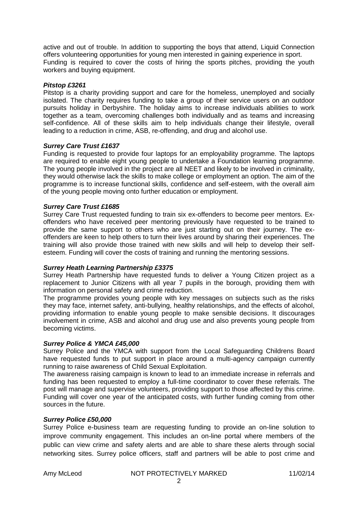active and out of trouble. In addition to supporting the boys that attend, Liquid Connection offers volunteering opportunities for young men interested in gaining experience in sport. Funding is required to cover the costs of hiring the sports pitches, providing the youth workers and buying equipment.

### *Pitstop £3261*

Pitstop is a charity providing support and care for the homeless, unemployed and socially isolated. The charity requires funding to take a group of their service users on an outdoor pursuits holiday in Derbyshire. The holiday aims to increase individuals abilities to work together as a team, overcoming challenges both individually and as teams and increasing self-confidence. All of these skills aim to help individuals change their lifestyle, overall leading to a reduction in crime, ASB, re-offending, and drug and alcohol use.

### *Surrey Care Trust £1637*

Funding is requested to provide four laptops for an employability programme. The laptops are required to enable eight young people to undertake a Foundation learning programme. The young people involved in the project are all NEET and likely to be involved in criminality, they would otherwise lack the skills to make college or employment an option. The aim of the programme is to increase functional skills, confidence and self-esteem, with the overall aim of the young people moving onto further education or employment.

### *Surrey Care Trust £1685*

Surrey Care Trust requested funding to train six ex-offenders to become peer mentors. Exoffenders who have received peer mentoring previously have requested to be trained to provide the same support to others who are just starting out on their journey. The exoffenders are keen to help others to turn their lives around by sharing their experiences. The training will also provide those trained with new skills and will help to develop their selfesteem. Funding will cover the costs of training and running the mentoring sessions.

#### *Surrey Heath Learning Partnership £3375*

Surrey Heath Partnership have requested funds to deliver a Young Citizen project as a replacement to Junior Citizens with all year 7 pupils in the borough, providing them with information on personal safety and crime reduction.

The programme provides young people with key messages on subjects such as the risks they may face, internet safety, anti-bullying, healthy relationships, and the effects of alcohol, providing information to enable young people to make sensible decisions. It discourages involvement in crime, ASB and alcohol and drug use and also prevents young people from becoming victims.

#### *Surrey Police & YMCA £45,000*

Surrey Police and the YMCA with support from the Local Safeguarding Childrens Board have requested funds to put support in place around a multi-agency campaign currently running to raise awareness of Child Sexual Exploitation.

The awareness raising campaign is known to lead to an immediate increase in referrals and funding has been requested to employ a full-time coordinator to cover these referrals. The post will manage and supervise volunteers, providing support to those affected by this crime. Funding will cover one year of the anticipated costs, with further funding coming from other sources in the future.

#### *Surrey Police £50,000*

Surrey Police e-business team are requesting funding to provide an on-line solution to improve community engagement. This includes an on-line portal where members of the public can view crime and safety alerts and are able to share these alerts through social networking sites. Surrey police officers, staff and partners will be able to post crime and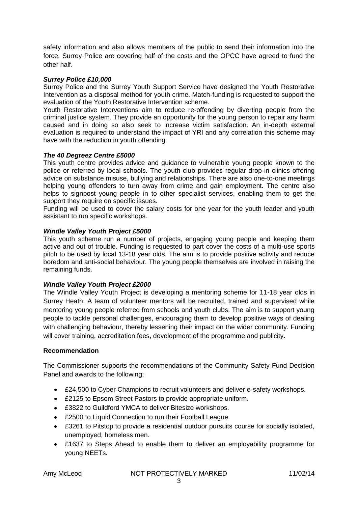safety information and also allows members of the public to send their information into the force. Surrey Police are covering half of the costs and the OPCC have agreed to fund the other half.

## *Surrey Police £10,000*

Surrey Police and the Surrey Youth Support Service have designed the Youth Restorative Intervention as a disposal method for youth crime. Match-funding is requested to support the evaluation of the Youth Restorative Intervention scheme.

Youth Restorative Interventions aim to reduce re-offending by diverting people from the criminal justice system. They provide an opportunity for the young person to repair any harm caused and in doing so also seek to increase victim satisfaction. An in-depth external evaluation is required to understand the impact of YRI and any correlation this scheme may have with the reduction in youth offending.

### *The 40 Degreez Centre £5000*

This youth centre provides advice and guidance to vulnerable young people known to the police or referred by local schools. The youth club provides regular drop-in clinics offering advice on substance misuse, bullying and relationships. There are also one-to-one meetings helping young offenders to turn away from crime and gain employment. The centre also helps to signpost young people in to other specialist services, enabling them to get the support they require on specific issues.

Funding will be used to cover the salary costs for one year for the youth leader and youth assistant to run specific workshops.

### *Windle Valley Youth Project £5000*

This youth scheme run a number of projects, engaging young people and keeping them active and out of trouble. Funding is requested to part cover the costs of a multi-use sports pitch to be used by local 13-18 year olds. The aim is to provide positive activity and reduce boredom and anti-social behaviour. The young people themselves are involved in raising the remaining funds.

#### *Windle Valley Youth Project £2000*

The Windle Valley Youth Project is developing a mentoring scheme for 11-18 year olds in Surrey Heath. A team of volunteer mentors will be recruited, trained and supervised while mentoring young people referred from schools and youth clubs. The aim is to support young people to tackle personal challenges, encouraging them to develop positive ways of dealing with challenging behaviour, thereby lessening their impact on the wider community. Funding will cover training, accreditation fees, development of the programme and publicity.

#### **Recommendation**

The Commissioner supports the recommendations of the Community Safety Fund Decision Panel and awards to the following;

- £24,500 to Cyber Champions to recruit volunteers and deliver e-safety workshops.
- £2125 to Epsom Street Pastors to provide appropriate uniform.
- £3822 to Guildford YMCA to deliver Bitesize workshops.
- £2500 to Liquid Connection to run their Football League.
- £3261 to Pitstop to provide a residential outdoor pursuits course for socially isolated, unemployed, homeless men.
- £1637 to Steps Ahead to enable them to deliver an employability programme for young NEETs.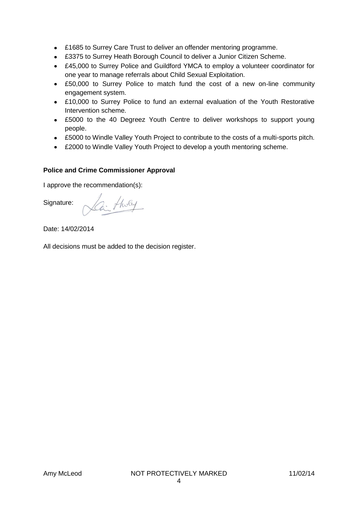- £1685 to Surrey Care Trust to deliver an offender mentoring programme.
- £3375 to Surrey Heath Borough Council to deliver a Junior Citizen Scheme.
- £45,000 to Surrey Police and Guildford YMCA to employ a volunteer coordinator for one year to manage referrals about Child Sexual Exploitation.
- £50,000 to Surrey Police to match fund the cost of a new on-line community engagement system.
- £10,000 to Surrey Police to fund an external evaluation of the Youth Restorative Intervention scheme.
- £5000 to the 40 Degreez Youth Centre to deliver workshops to support young people.
- £5000 to Windle Valley Youth Project to contribute to the costs of a multi-sports pitch.
- £2000 to Windle Valley Youth Project to develop a youth mentoring scheme.

# **Police and Crime Commissioner Approval**

I approve the recommendation(s):

Signature:

Zi tholey

Date: 14/02/2014

All decisions must be added to the decision register.